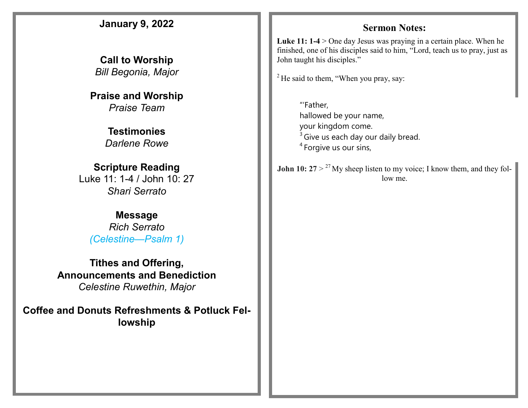## **January 9, 2022 Call to Worship**  *Bill Begonia, Major*  **Praise and Worship** *Praise Team* **Testimonies** *Darlene Rowe* **Scripture Reading** Luke 11: 1-4 / John 10: 27 *Shari Serrato* **Message** *Rich Serrato (Celestine—Psalm 1)* **Tithes and Offering, Announcements and Benediction** *Celestine Ruwethin, Major*  **Coffee and Donuts Refreshments & Potluck Fellowship Sermon Notes:**  Luke 11: 1-4 > One day Jesus was praying in a certain place. When he finished, one of his disciples said to him, "Lord, teach us to pray, just as John taught his disciples."  $2$  He said to them, "When you pray, say: **John 10:**  $27 > {}^{27}$  My sheep listen to my voice; I know them, and they follow me. "'Father, hallowed be your name, your kingdom come.  $3$  Give us each day our daily bread. <sup>4</sup> Forgive us our sins,